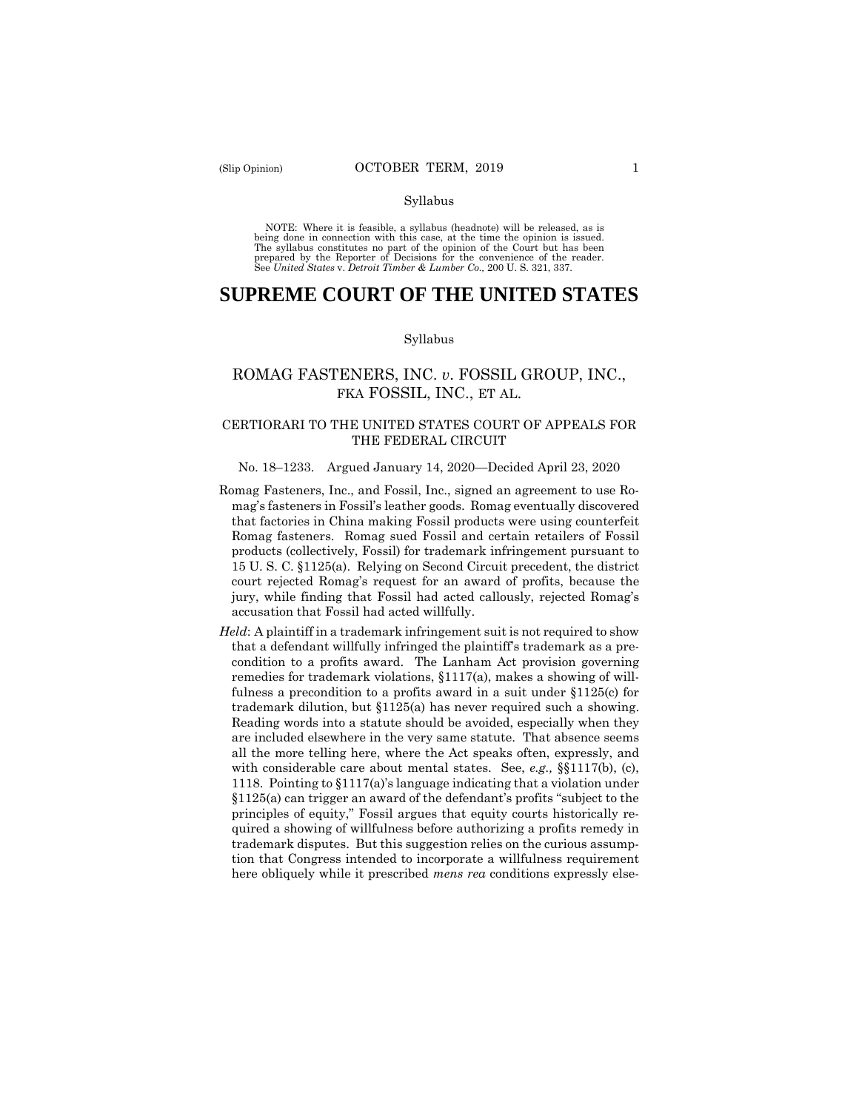#### Syllabus

 NOTE: Where it is feasible, a syllabus (headnote) will be released, as is being done in connection with this case, at the time the opinion is issued. The syllabus constitutes no part of the opinion of the Court but has been<br>prepared by the Reporter of Decisions for the convenience of the reader.<br>See United States v. Detroit Timber & Lumber Co., 200 U.S. 321, 337.

# **SUPREME COURT OF THE UNITED STATES**

#### Syllabus

# ROMAG FASTENERS, INC. *v*. FOSSIL GROUP, INC., FKA FOSSIL, INC., ET AL.

### CERTIORARI TO THE UNITED STATES COURT OF APPEALS FOR THE FEDERAL CIRCUIT

#### No. 18–1233. Argued January 14, 2020—Decided April 23, 2020

- Romag Fasteners, Inc., and Fossil, Inc., signed an agreement to use Romag's fasteners in Fossil's leather goods. Romag eventually discovered that factories in China making Fossil products were using counterfeit Romag fasteners. Romag sued Fossil and certain retailers of Fossil products (collectively, Fossil) for trademark infringement pursuant to 15 U. S. C. §1125(a). Relying on Second Circuit precedent, the district court rejected Romag's request for an award of profits, because the jury, while finding that Fossil had acted callously, rejected Romag's accusation that Fossil had acted willfully.
- *Held*: A plaintiff in a trademark infringement suit is not required to show that a defendant willfully infringed the plaintiff's trademark as a precondition to a profits award. The Lanham Act provision governing remedies for trademark violations, §1117(a), makes a showing of willfulness a precondition to a profits award in a suit under §1125(c) for trademark dilution, but §1125(a) has never required such a showing. Reading words into a statute should be avoided, especially when they are included elsewhere in the very same statute. That absence seems all the more telling here, where the Act speaks often, expressly, and with considerable care about mental states. See, *e.g.,* §§1117(b), (c), 1118. Pointing to §1117(a)'s language indicating that a violation under §1125(a) can trigger an award of the defendant's profits "subject to the principles of equity," Fossil argues that equity courts historically required a showing of willfulness before authorizing a profits remedy in trademark disputes. But this suggestion relies on the curious assumption that Congress intended to incorporate a willfulness requirement here obliquely while it prescribed *mens rea* conditions expressly else-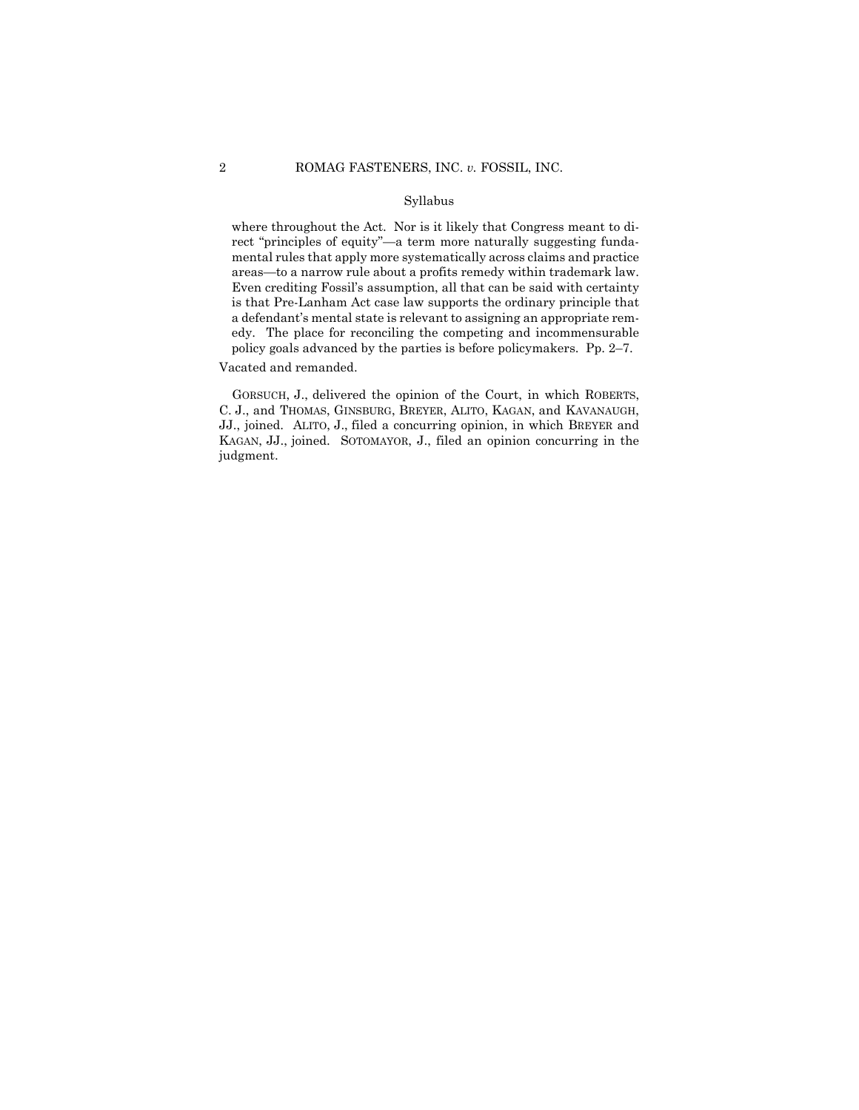#### Syllabus

 where throughout the Act. Nor is it likely that Congress meant to di- areas—to a narrow rule about a profits remedy within trademark law. rect "principles of equity"—a term more naturally suggesting fundamental rules that apply more systematically across claims and practice Even crediting Fossil's assumption, all that can be said with certainty is that Pre-Lanham Act case law supports the ordinary principle that a defendant's mental state is relevant to assigning an appropriate remedy. The place for reconciling the competing and incommensurable policy goals advanced by the parties is before policymakers. Pp. 2–7.

Vacated and remanded.

 GORSUCH, J., delivered the opinion of the Court, in which ROBERTS, C. J., and THOMAS, GINSBURG, BREYER, ALITO, KAGAN, and KAVANAUGH, JJ., joined. ALITO, J., filed a concurring opinion, in which BREYER and KAGAN, JJ., joined. SOTOMAYOR, J., filed an opinion concurring in the judgment.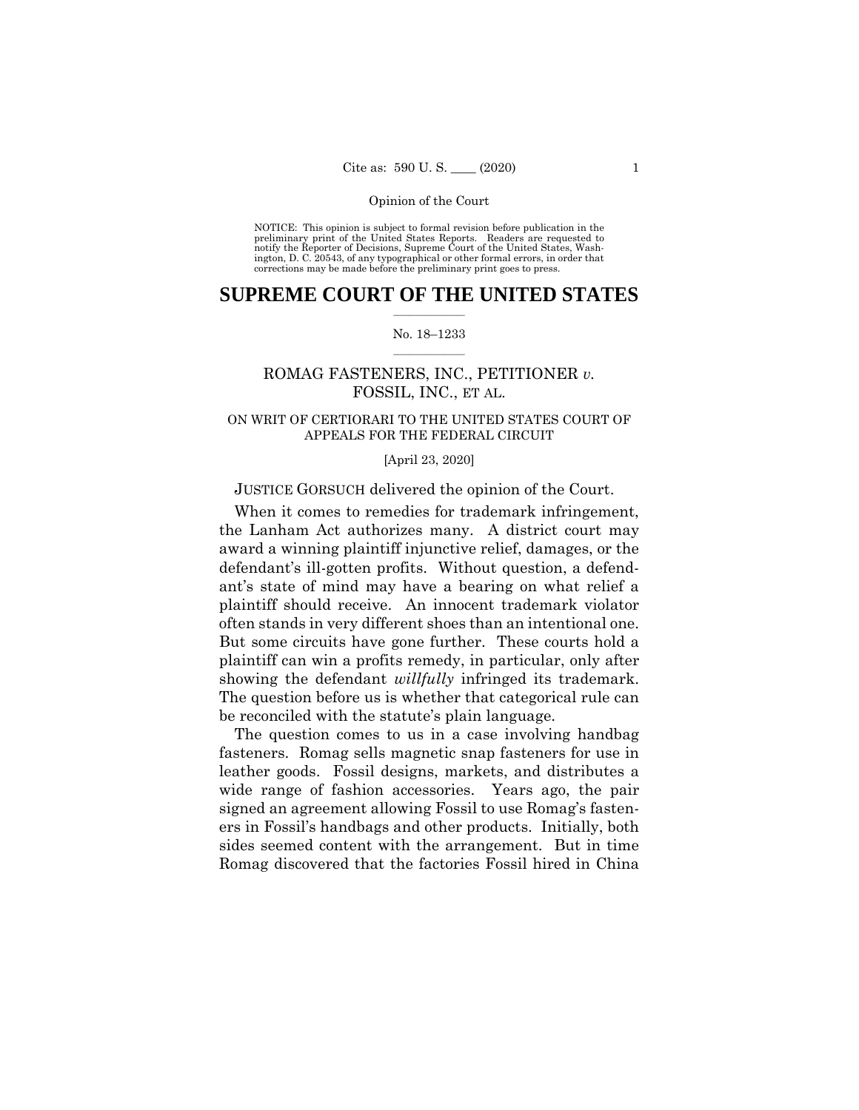NOTICE: This opinion is subject to formal revision before publication in the preliminary print of the United States Reports. Readers are requested to notify the Reporter of Decisions, Supreme Court of the United States, Wash-ington, D. C. 20543, of any typographical or other formal errors, in order that corrections may be made before the preliminary print goes to press.

### $\frac{1}{2}$  , where  $\frac{1}{2}$ **SUPREME COURT OF THE UNITED STATES**

#### $\frac{1}{2}$  ,  $\frac{1}{2}$  ,  $\frac{1}{2}$  ,  $\frac{1}{2}$  ,  $\frac{1}{2}$  ,  $\frac{1}{2}$ No. 18–1233

# ROMAG FASTENERS, INC., PETITIONER *v.*  FOSSIL, INC., ET AL.

# ON WRIT OF CERTIORARI TO THE UNITED STATES COURT OF APPEALS FOR THE FEDERAL CIRCUIT

#### [April 23, 2020]

### JUSTICE GORSUCH delivered the opinion of the Court.

 often stands in very different shoes than an intentional one. When it comes to remedies for trademark infringement, the Lanham Act authorizes many. A district court may award a winning plaintiff injunctive relief, damages, or the defendant's ill-gotten profits. Without question, a defendant's state of mind may have a bearing on what relief a plaintiff should receive. An innocent trademark violator But some circuits have gone further. These courts hold a plaintiff can win a profits remedy, in particular, only after showing the defendant *willfully* infringed its trademark. The question before us is whether that categorical rule can be reconciled with the statute's plain language.

The question comes to us in a case involving handbag fasteners. Romag sells magnetic snap fasteners for use in leather goods. Fossil designs, markets, and distributes a wide range of fashion accessories. Years ago, the pair signed an agreement allowing Fossil to use Romag's fasteners in Fossil's handbags and other products. Initially, both sides seemed content with the arrangement. But in time Romag discovered that the factories Fossil hired in China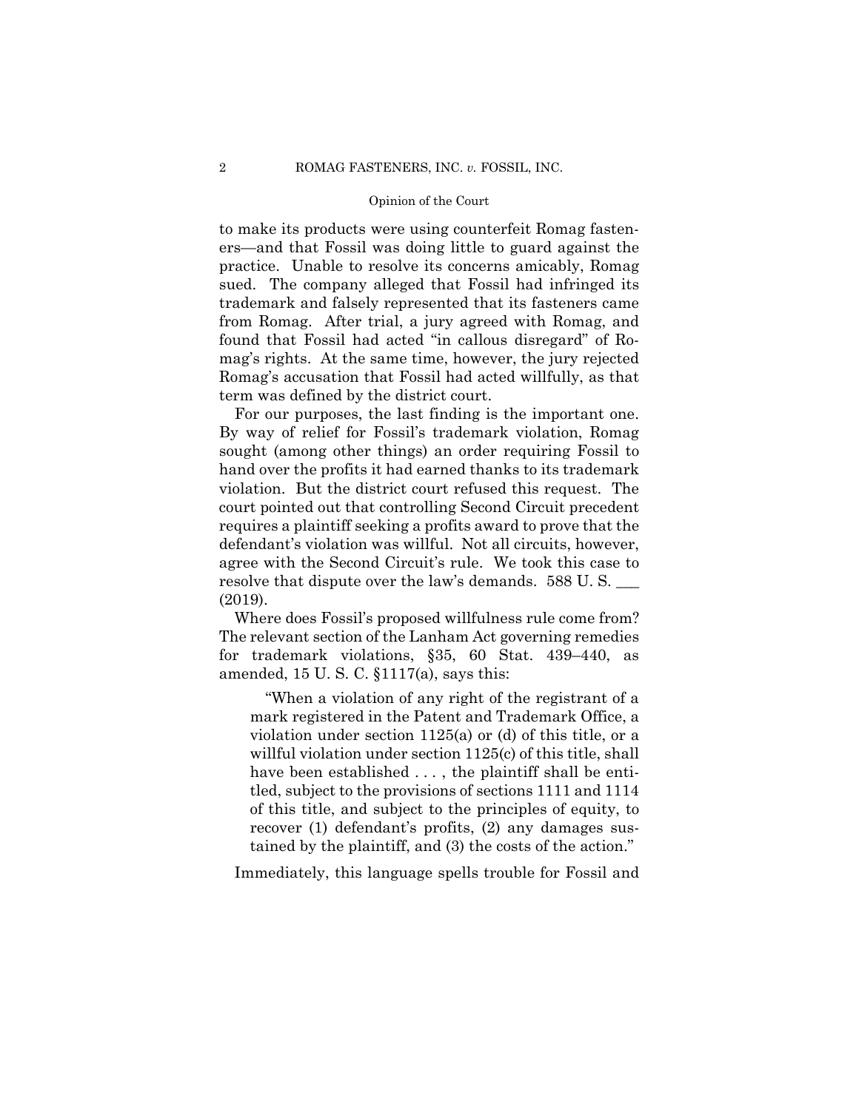to make its products were using counterfeit Romag fasteners—and that Fossil was doing little to guard against the practice. Unable to resolve its concerns amicably, Romag sued. The company alleged that Fossil had infringed its trademark and falsely represented that its fasteners came from Romag. After trial, a jury agreed with Romag, and found that Fossil had acted "in callous disregard" of Romag's rights. At the same time, however, the jury rejected Romag's accusation that Fossil had acted willfully, as that term was defined by the district court.

For our purposes, the last finding is the important one. By way of relief for Fossil's trademark violation, Romag sought (among other things) an order requiring Fossil to hand over the profits it had earned thanks to its trademark violation. But the district court refused this request. The court pointed out that controlling Second Circuit precedent requires a plaintiff seeking a profits award to prove that the defendant's violation was willful. Not all circuits, however, agree with the Second Circuit's rule. We took this case to resolve that dispute over the law's demands. 588 U.S. (2019).

Where does Fossil's proposed willfulness rule come from? The relevant section of the Lanham Act governing remedies for trademark violations, §35, 60 Stat. 439–440, as amended, 15 U. S. C. §1117(a), says this:

"When a violation of any right of the registrant of a mark registered in the Patent and Trademark Office, a violation under section 1125(a) or (d) of this title, or a willful violation under section 1125(c) of this title, shall have been established . . . , the plaintiff shall be entitled, subject to the provisions of sections 1111 and 1114 of this title, and subject to the principles of equity, to recover (1) defendant's profits, (2) any damages sustained by the plaintiff, and (3) the costs of the action."

Immediately, this language spells trouble for Fossil and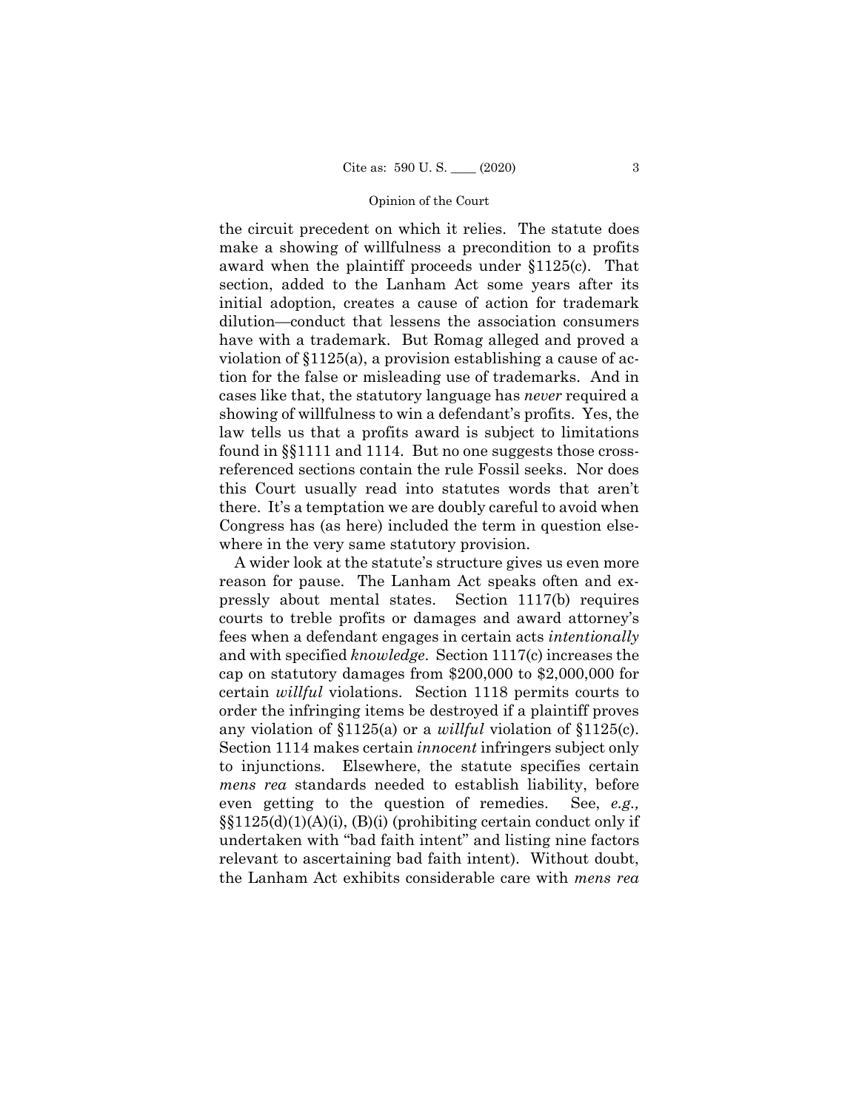the circuit precedent on which it relies. The statute does make a showing of willfulness a precondition to a profits award when the plaintiff proceeds under §1125(c). That section, added to the Lanham Act some years after its initial adoption, creates a cause of action for trademark dilution—conduct that lessens the association consumers have with a trademark. But Romag alleged and proved a violation of §1125(a), a provision establishing a cause of action for the false or misleading use of trademarks. And in cases like that, the statutory language has *never* required a showing of willfulness to win a defendant's profits. Yes, the law tells us that a profits award is subject to limitations found in §§1111 and 1114. But no one suggests those crossreferenced sections contain the rule Fossil seeks. Nor does this Court usually read into statutes words that aren't there. It's a temptation we are doubly careful to avoid when Congress has (as here) included the term in question elsewhere in the very same statutory provision.

A wider look at the statute's structure gives us even more reason for pause. The Lanham Act speaks often and expressly about mental states. Section 1117(b) requires courts to treble profits or damages and award attorney's fees when a defendant engages in certain acts *intentionally*  and with specified *knowledge*. Section 1117(c) increases the cap on statutory damages from \$200,000 to \$2,000,000 for certain *willful* violations. Section 1118 permits courts to order the infringing items be destroyed if a plaintiff proves any violation of §1125(a) or a *willful* violation of §1125(c). Section 1114 makes certain *innocent* infringers subject only to injunctions. Elsewhere, the statute specifies certain *mens rea* standards needed to establish liability, before even getting to the question of remedies. See, *e.g.,* §§1125(d)(1)(A)(i), (B)(i) (prohibiting certain conduct only if undertaken with "bad faith intent" and listing nine factors relevant to ascertaining bad faith intent). Without doubt, the Lanham Act exhibits considerable care with *mens rea*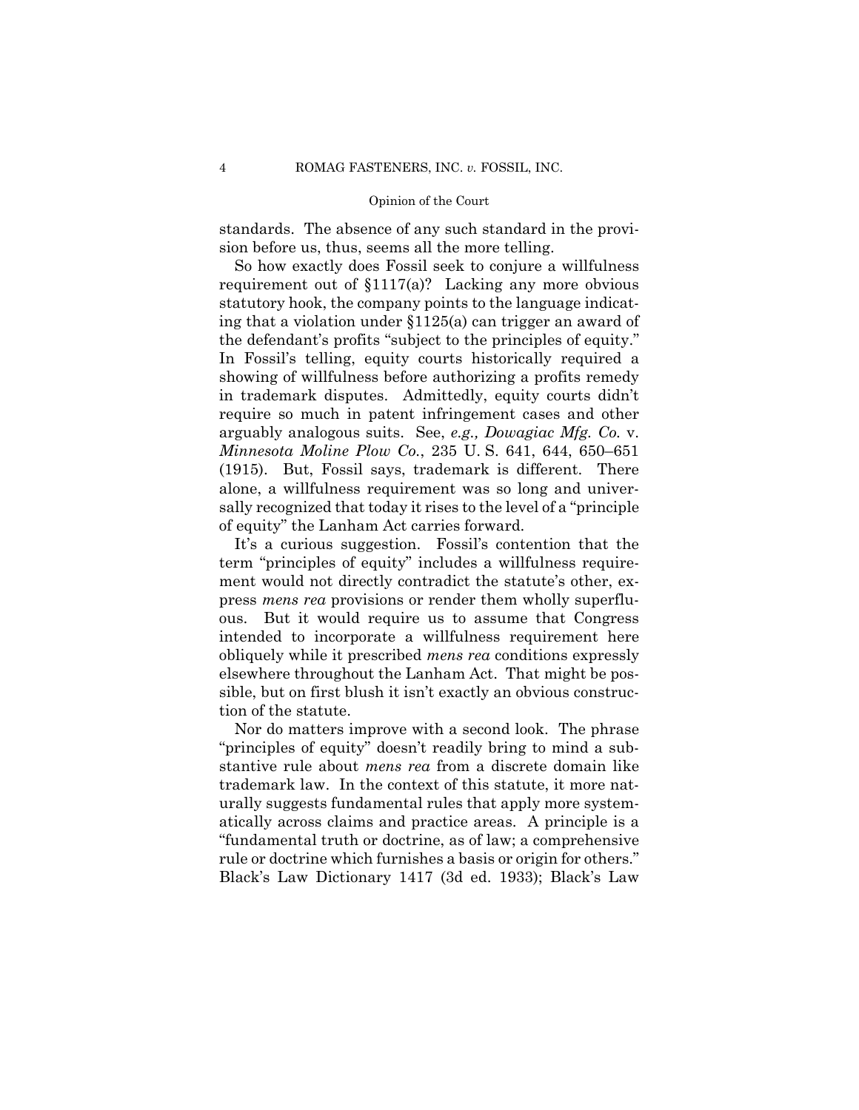standards. The absence of any such standard in the provision before us, thus, seems all the more telling.

So how exactly does Fossil seek to conjure a willfulness requirement out of §1117(a)? Lacking any more obvious statutory hook, the company points to the language indicating that a violation under §1125(a) can trigger an award of the defendant's profits "subject to the principles of equity." In Fossil's telling, equity courts historically required a showing of willfulness before authorizing a profits remedy in trademark disputes. Admittedly, equity courts didn't require so much in patent infringement cases and other arguably analogous suits. See, *e.g., Dowagiac Mfg. Co.* v. *Minnesota Moline Plow Co.*, 235 U. S. 641, 644, 650–651 (1915). But, Fossil says, trademark is different. There alone, a willfulness requirement was so long and universally recognized that today it rises to the level of a "principle of equity" the Lanham Act carries forward.

It's a curious suggestion. Fossil's contention that the term "principles of equity" includes a willfulness requirement would not directly contradict the statute's other, express *mens rea* provisions or render them wholly superfluous. But it would require us to assume that Congress intended to incorporate a willfulness requirement here obliquely while it prescribed *mens rea* conditions expressly elsewhere throughout the Lanham Act. That might be possible, but on first blush it isn't exactly an obvious construction of the statute.

Nor do matters improve with a second look. The phrase "principles of equity" doesn't readily bring to mind a substantive rule about *mens rea* from a discrete domain like trademark law. In the context of this statute, it more naturally suggests fundamental rules that apply more systematically across claims and practice areas. A principle is a "fundamental truth or doctrine, as of law; a comprehensive rule or doctrine which furnishes a basis or origin for others." Black's Law Dictionary 1417 (3d ed. 1933); Black's Law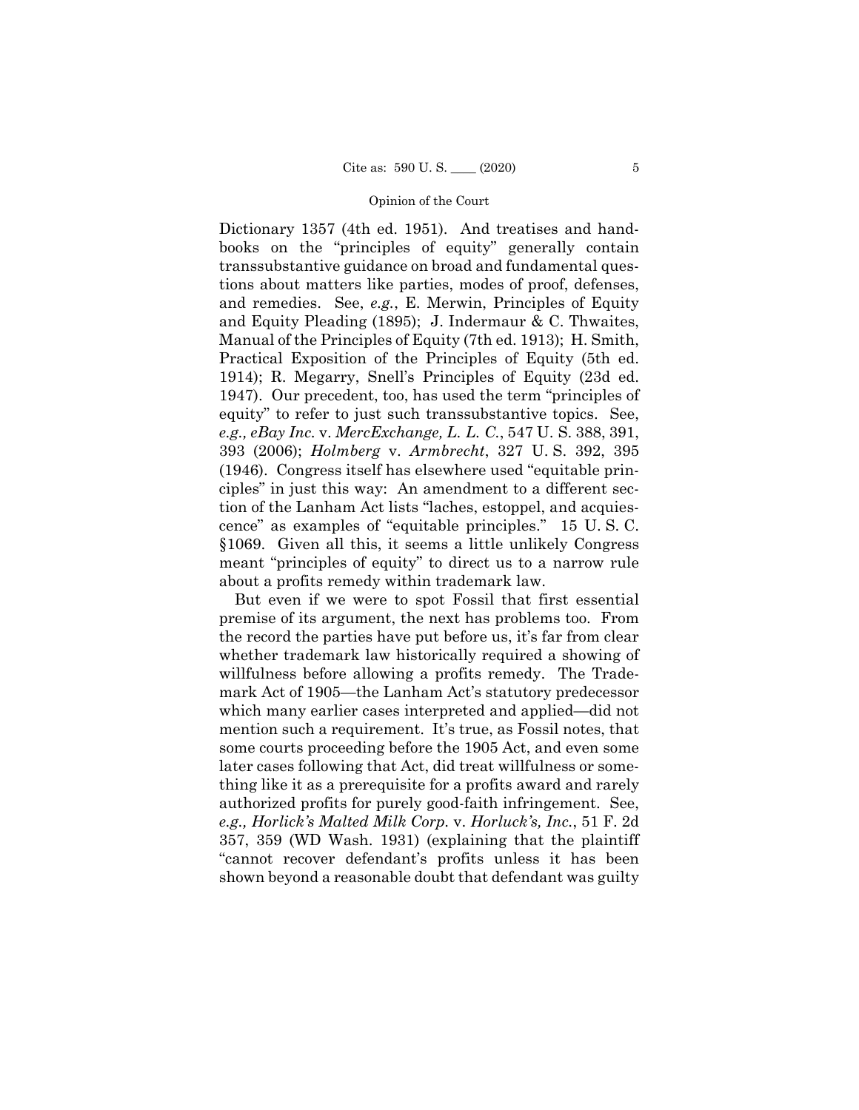*e.g., eBay Inc.* v. *MercExchange, L. L. C.*, 547 U. S. 388, 391, Dictionary 1357 (4th ed. 1951). And treatises and handbooks on the "principles of equity" generally contain transsubstantive guidance on broad and fundamental questions about matters like parties, modes of proof, defenses, and remedies. See, *e.g.*, E. Merwin, Principles of Equity and Equity Pleading (1895); J. Indermaur & C. Thwaites, Manual of the Principles of Equity (7th ed. 1913); H. Smith, Practical Exposition of the Principles of Equity (5th ed. 1914); R. Megarry, Snell's Principles of Equity (23d ed. 1947). Our precedent, too, has used the term "principles of equity" to refer to just such transsubstantive topics. See, 393 (2006); *Holmberg* v. *Armbrecht*, 327 U. S. 392, 395 (1946). Congress itself has elsewhere used "equitable principles" in just this way: An amendment to a different section of the Lanham Act lists "laches, estoppel, and acquiescence" as examples of "equitable principles." 15 U. S. C. §1069. Given all this, it seems a little unlikely Congress meant "principles of equity" to direct us to a narrow rule about a profits remedy within trademark law.

But even if we were to spot Fossil that first essential premise of its argument, the next has problems too. From the record the parties have put before us, it's far from clear whether trademark law historically required a showing of willfulness before allowing a profits remedy. The Trademark Act of 1905—the Lanham Act's statutory predecessor which many earlier cases interpreted and applied—did not mention such a requirement. It's true, as Fossil notes, that some courts proceeding before the 1905 Act, and even some later cases following that Act, did treat willfulness or something like it as a prerequisite for a profits award and rarely authorized profits for purely good-faith infringement. See, *e.g., Horlick's Malted Milk Corp.* v. *Horluck's, Inc.*, 51 F. 2d 357, 359 (WD Wash. 1931) (explaining that the plaintiff "cannot recover defendant's profits unless it has been shown beyond a reasonable doubt that defendant was guilty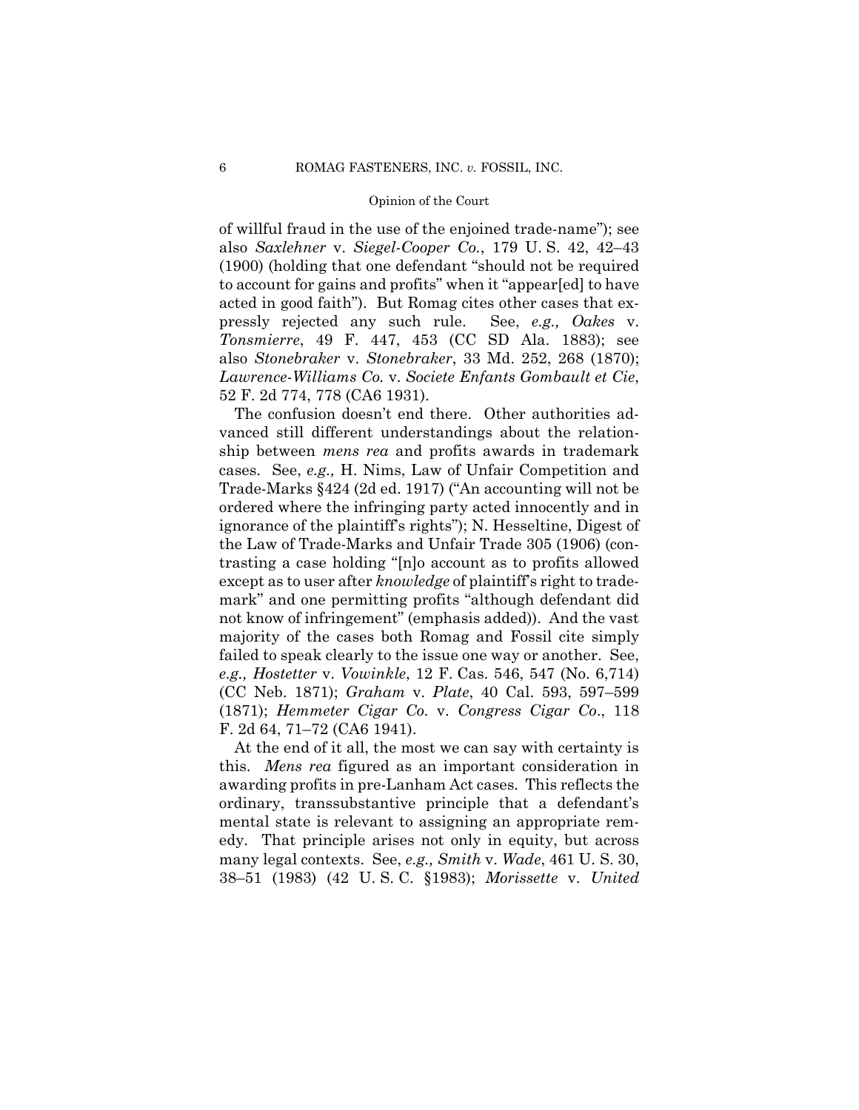of willful fraud in the use of the enjoined trade-name"); see also *Saxlehner* v. *Siegel-Cooper Co.*, 179 U. S. 42, 42–43 (1900) (holding that one defendant "should not be required to account for gains and profits" when it "appear[ed] to have acted in good faith"). But Romag cites other cases that expressly rejected any such rule. See, *e.g., Oakes* v. *Tonsmierre*, 49 F. 447, 453 (CC SD Ala. 1883); see also *Stonebraker* v. *Stonebraker*, 33 Md. 252, 268 (1870); *Lawrence-Williams Co.* v. *Societe Enfants Gombault et Cie*, 52 F. 2d 774, 778 (CA6 1931).

The confusion doesn't end there. Other authorities advanced still different understandings about the relationship between *mens rea* and profits awards in trademark cases. See, *e.g.,* H. Nims, Law of Unfair Competition and Trade-Marks §424 (2d ed. 1917) ("An accounting will not be ordered where the infringing party acted innocently and in ignorance of the plaintiff's rights"); N. Hesseltine, Digest of the Law of Trade-Marks and Unfair Trade 305 (1906) (contrasting a case holding "[n]o account as to profits allowed except as to user after *knowledge* of plaintiff's right to trademark" and one permitting profits "although defendant did not know of infringement" (emphasis added)). And the vast majority of the cases both Romag and Fossil cite simply failed to speak clearly to the issue one way or another. See, *e.g., Hostetter* v. *Vowinkle*, 12 F. Cas. 546, 547 (No. 6,714) (CC Neb. 1871); *Graham* v. *Plate*, 40 Cal. 593, 597–599 (1871); *Hemmeter Cigar Co.* v. *Congress Cigar Co*., 118 F. 2d 64, 71–72 (CA6 1941).

At the end of it all, the most we can say with certainty is this. *Mens rea* figured as an important consideration in awarding profits in pre-Lanham Act cases. This reflects the ordinary, transsubstantive principle that a defendant's mental state is relevant to assigning an appropriate remedy. That principle arises not only in equity, but across many legal contexts. See, *e.g., Smith* v. *Wade*, 461 U. S. 30, 38–51 (1983) (42 U. S. C. §1983); *Morissette* v. *United*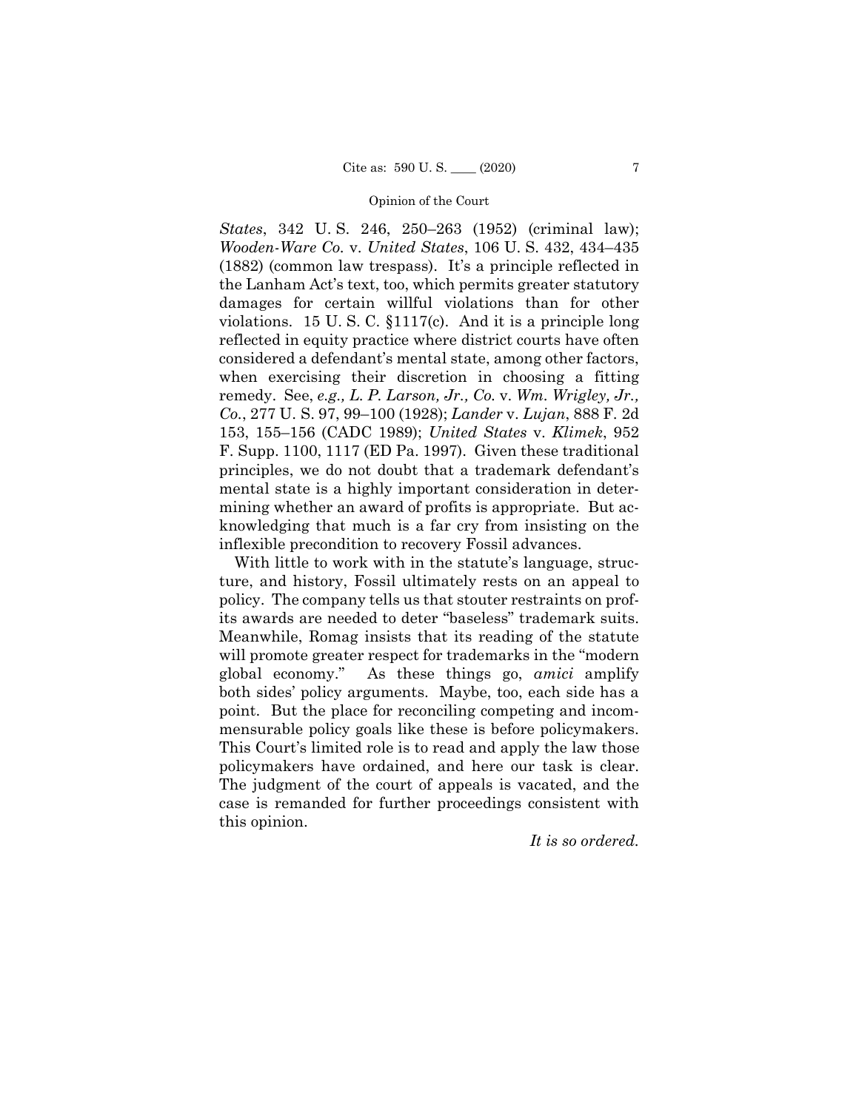*States*, 342 U. S. 246, 250–263 (1952) (criminal law); *Wooden-Ware Co.* v. *United States*, 106 U. S. 432, 434–435 (1882) (common law trespass). It's a principle reflected in the Lanham Act's text, too, which permits greater statutory damages for certain willful violations than for other violations. 15 U. S. C. §1117(c). And it is a principle long reflected in equity practice where district courts have often considered a defendant's mental state, among other factors, when exercising their discretion in choosing a fitting remedy. See, *e.g., L. P. Larson, Jr., Co.* v. *Wm. Wrigley, Jr., Co.*, 277 U. S. 97, 99–100 (1928); *Lander* v. *Lujan*, 888 F. 2d 153, 155–156 (CADC 1989); *United States* v. *Klimek*, 952 F. Supp. 1100, 1117 (ED Pa. 1997). Given these traditional principles, we do not doubt that a trademark defendant's mental state is a highly important consideration in determining whether an award of profits is appropriate. But acknowledging that much is a far cry from insisting on the inflexible precondition to recovery Fossil advances.

 policymakers have ordained, and here our task is clear. With little to work with in the statute's language, structure, and history, Fossil ultimately rests on an appeal to policy. The company tells us that stouter restraints on profits awards are needed to deter "baseless" trademark suits. Meanwhile, Romag insists that its reading of the statute will promote greater respect for trademarks in the "modern global economy." As these things go, *amici* amplify both sides' policy arguments. Maybe, too, each side has a point. But the place for reconciling competing and incommensurable policy goals like these is before policymakers. This Court's limited role is to read and apply the law those The judgment of the court of appeals is vacated, and the case is remanded for further proceedings consistent with this opinion.

*It is so ordered.*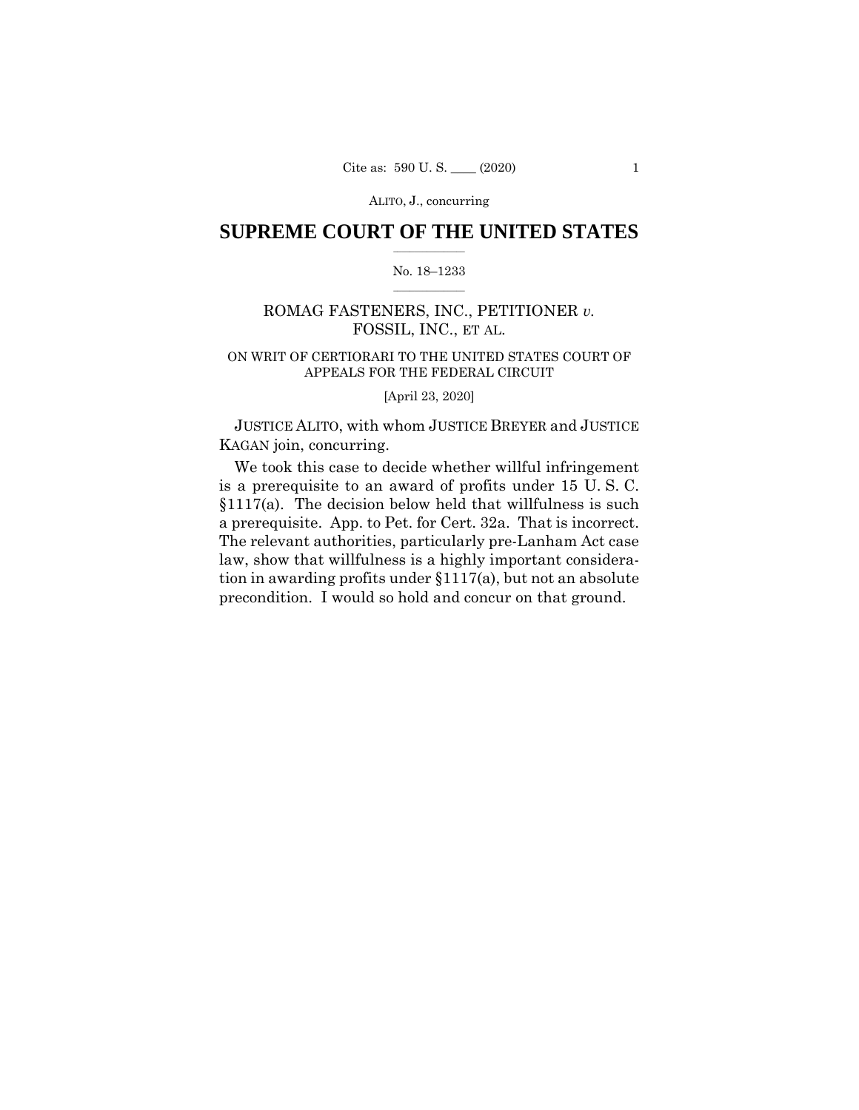ALITO, J., concurring

### $\frac{1}{2}$  , where  $\frac{1}{2}$ **SUPREME COURT OF THE UNITED STATES**

### $\frac{1}{2}$  ,  $\frac{1}{2}$  ,  $\frac{1}{2}$  ,  $\frac{1}{2}$  ,  $\frac{1}{2}$  ,  $\frac{1}{2}$ No. 18–1233

# ROMAG FASTENERS, INC., PETITIONER *v.*  FOSSIL, INC., ET AL.

# ON WRIT OF CERTIORARI TO THE UNITED STATES COURT OF APPEALS FOR THE FEDERAL CIRCUIT

[April 23, 2020]

JUSTICE ALITO, with whom JUSTICE BREYER and JUSTICE KAGAN join, concurring.

a prerequisite. App. to Pet. for Cert. 32a. That is incorrect. We took this case to decide whether willful infringement is a prerequisite to an award of profits under 15 U. S. C. §1117(a). The decision below held that willfulness is such The relevant authorities, particularly pre-Lanham Act case law, show that willfulness is a highly important consideration in awarding profits under §1117(a), but not an absolute precondition. I would so hold and concur on that ground.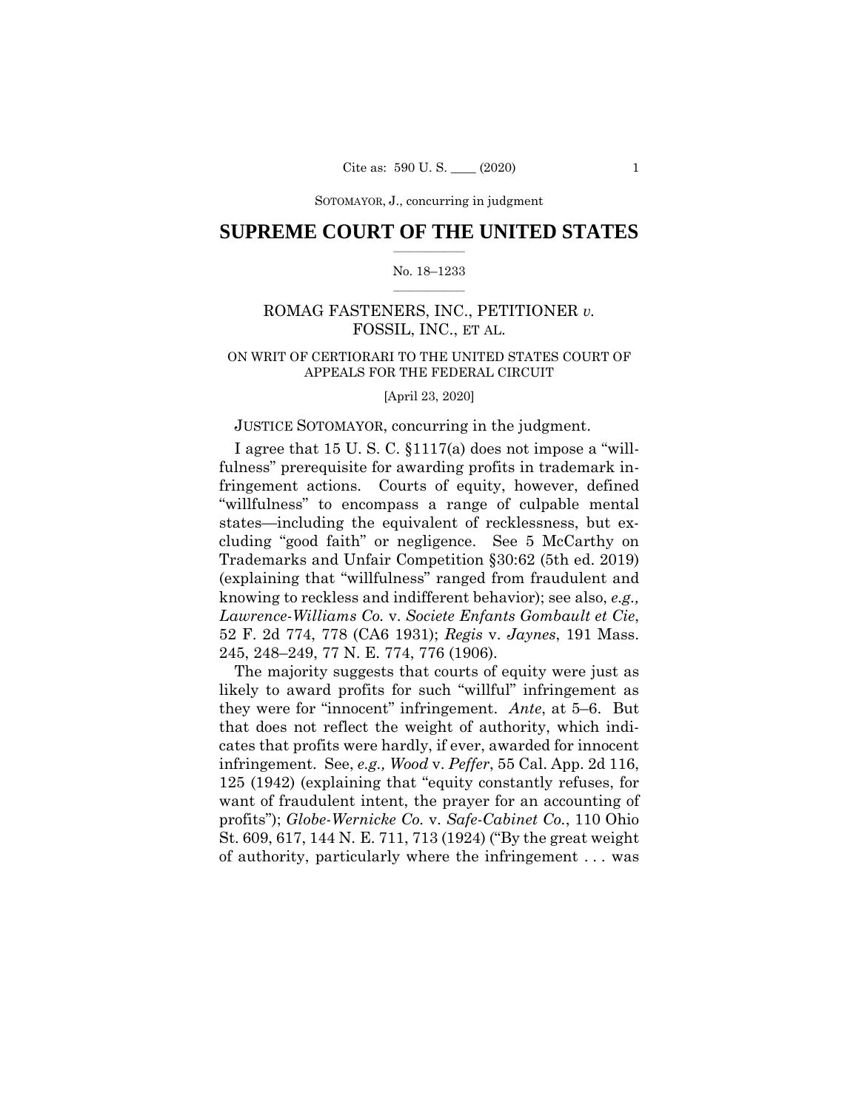SOTOMAYOR, J., concurring in judgment

### $\frac{1}{2}$  , where  $\frac{1}{2}$ **SUPREME COURT OF THE UNITED STATES**

#### $\frac{1}{2}$  ,  $\frac{1}{2}$  ,  $\frac{1}{2}$  ,  $\frac{1}{2}$  ,  $\frac{1}{2}$  ,  $\frac{1}{2}$ No. 18–1233

# ROMAG FASTENERS, INC., PETITIONER *v.*  FOSSIL, INC., ET AL.

# ON WRIT OF CERTIORARI TO THE UNITED STATES COURT OF APPEALS FOR THE FEDERAL CIRCUIT

[April 23, 2020]

### JUSTICE SOTOMAYOR, concurring in the judgment.

I agree that 15 U. S. C. §1117(a) does not impose a "willfulness" prerequisite for awarding profits in trademark infringement actions. Courts of equity, however, defined "willfulness" to encompass a range of culpable mental states—including the equivalent of recklessness, but excluding "good faith" or negligence. See 5 McCarthy on Trademarks and Unfair Competition §30:62 (5th ed. 2019) (explaining that "willfulness" ranged from fraudulent and knowing to reckless and indifferent behavior); see also, *e.g., Lawrence-Williams Co.* v. *Societe Enfants Gombault et Cie*, 52 F. 2d 774, 778 (CA6 1931); *Regis* v. *Jaynes*, 191 Mass. 245, 248–249, 77 N. E. 774, 776 (1906).

The majority suggests that courts of equity were just as likely to award profits for such "willful" infringement as they were for "innocent" infringement. *Ante*, at 5–6. But that does not reflect the weight of authority, which indicates that profits were hardly, if ever, awarded for innocent infringement. See, *e.g., Wood* v. *Peffer*, 55 Cal. App. 2d 116, 125 (1942) (explaining that "equity constantly refuses, for want of fraudulent intent, the prayer for an accounting of profits"); *Globe-Wernicke Co.* v. *Safe-Cabinet Co.*, 110 Ohio St. 609, 617, 144 N. E. 711, 713 (1924) ("By the great weight of authority, particularly where the infringement . . . was